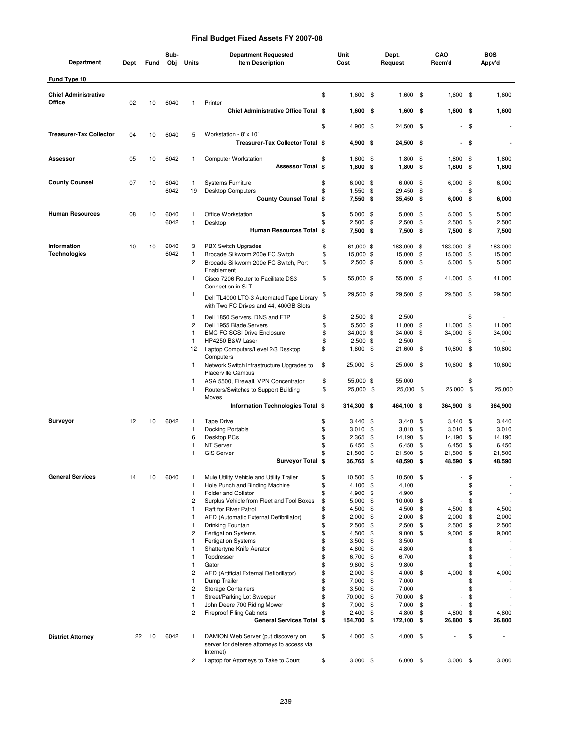## **Final Budget Fixed Assets FY 2007-08**

| Department                            | Dept | Fund | Sub-<br>Obj  | Units                          | <b>Department Requested</b><br><b>Item Description</b>                                         |          | Unit<br>Cost           |           | Dept.<br>Request       |            | CAO<br>Recm'd            |          | <b>BOS</b><br>Appv'd |
|---------------------------------------|------|------|--------------|--------------------------------|------------------------------------------------------------------------------------------------|----------|------------------------|-----------|------------------------|------------|--------------------------|----------|----------------------|
| Fund Type 10                          |      |      |              |                                |                                                                                                |          |                        |           |                        |            |                          |          |                      |
| <b>Chief Administrative</b><br>Office | 02   | 10   | 6040         | 1                              | Printer                                                                                        | \$       | $1,600$ \$             |           | $1,600$ \$             |            | $1,600$ \$               |          | 1,600                |
|                                       |      |      |              |                                | Chief Administrative Office Total \$                                                           |          | $1,600$ \$             |           | 1,600                  | - \$       | $1,600$ \$               |          | 1,600                |
|                                       |      |      |              |                                |                                                                                                | \$       | 4,900 \$               |           | 24,500 \$              |            | $\overline{\phantom{a}}$ | \$       |                      |
| <b>Treasurer-Tax Collector</b>        | 04   | 10   | 6040         | 5                              | Workstation - 8' x 10'<br>Treasurer-Tax Collector Total \$                                     |          | 4,900 \$               |           | 24,500 \$              |            |                          | - \$     |                      |
| Assessor                              | 05   | 10   | 6042         | 1                              | <b>Computer Workstation</b><br><b>Assessor Total \$</b>                                        | \$       | 1,800<br>$1,800$ \$    | \$        | 1,800<br>$1,800$ \$    | - \$       | 1,800 \$<br>$1,800$ \$   |          | 1,800<br>1,800       |
| <b>County Counsel</b>                 | 07   | 10   | 6040         | $\mathbf{1}$                   | <b>Systems Furniture</b>                                                                       | \$       | $6,000$ \$             |           | $6,000$ \$             |            | 6,000                    | \$       | 6,000                |
|                                       |      |      | 6042         | 19                             | <b>Desktop Computers</b><br>County Counsel Total \$                                            | \$       | 1,550<br>7,550 \$      | \$        | 29,450<br>$35,450$ \$  | \$         | $6,000$ \$               | \$       | 6,000                |
|                                       |      |      |              |                                |                                                                                                |          |                        |           |                        |            |                          |          |                      |
| <b>Human Resources</b>                | 08   | 10   | 6040<br>6042 | 1<br>$\mathbf{1}$              | Office Workstation<br>Desktop                                                                  | \$<br>\$ | $5,000$ \$<br>2,500    | \$        | 5,000<br>2,500         | - \$<br>\$ | 5,000<br>2,500           | \$<br>\$ | 5,000<br>2,500       |
|                                       |      |      |              |                                | Human Resources Total \$                                                                       |          | 7,500 \$               |           | 7,500 \$               |            | $7,500$ \$               |          | 7,500                |
| Information                           | 10   | 10   | 6040         | 3                              | <b>PBX Switch Upgrades</b>                                                                     | \$       | 61,000 \$              |           | 183,000 \$             |            | 183,000                  | - \$     | 183,000              |
| <b>Technologies</b>                   |      |      | 6042         | 1                              | Brocade Silkworm 200e FC Switch                                                                | \$       | 15,000 \$              |           | 15,000                 | \$         | 15,000                   | \$       | 15,000               |
|                                       |      |      |              | $\overline{c}$                 | Brocade Silkworm 200e FC Switch, Port<br>Enablement                                            | \$       | $2,500$ \$             |           | $5,000$ \$             |            | $5,000$ \$               |          | 5,000                |
|                                       |      |      |              | $\mathbf{1}$                   | Cisco 7206 Router to Facilitate DS3<br>Connection in SLT                                       | \$       | 55,000 \$              |           | 55,000 \$              |            | 41,000 \$                |          | 41,000               |
|                                       |      |      |              | 1                              | Dell TL4000 LTO-3 Automated Tape Library<br>with Two FC Drives and 44, 400GB Slots             | \$       | 29,500 \$              |           | 29,500 \$              |            | 29,500 \$                |          | 29,500               |
|                                       |      |      |              | 1                              | Dell 1850 Servers, DNS and FTP                                                                 | \$       | $2,500$ \$             |           | 2,500                  |            |                          | \$       |                      |
|                                       |      |      |              | $\overline{c}$<br>$\mathbf{1}$ | Dell 1955 Blade Servers<br><b>EMC FC SCSI Drive Enclosure</b>                                  | \$<br>\$ | 5,500 \$<br>34,000 \$  |           | 11,000 \$<br>34,000 \$ |            | 11,000<br>34,000         | \$<br>\$ | 11,000<br>34,000     |
|                                       |      |      |              | 1                              | HP4250 B&W Laser                                                                               | \$       | $2,500$ \$             |           | 2,500                  |            |                          | \$       |                      |
|                                       |      |      |              | 12                             | Laptop Computers/Level 2/3 Desktop<br>Computers                                                | \$       | 1,800                  | \$        | 21,600 \$              |            | 10,800                   | \$       | 10,800               |
|                                       |      |      |              | 1                              | Network Switch Infrastructure Upgrades to<br>Placerville Campus                                | \$       | 25,000 \$              |           | 25,000 \$              |            | 10,600 \$                |          | 10,600               |
|                                       |      |      |              | 1<br>$\mathbf{1}$              | ASA 5500, Firewall, VPN Concentrator<br>Routers/Switches to Support Building                   | \$<br>\$ | 55,000 \$<br>25,000 \$ |           | 55,000<br>25,000 \$    |            | 25,000 \$                | \$       | 25,000               |
|                                       |      |      |              |                                | Moves<br>Information Technologies Total \$                                                     |          | 314,300 \$             |           | 464,100 \$             |            | 364,900 \$               |          | 364,900              |
|                                       |      |      |              |                                |                                                                                                |          |                        |           |                        |            |                          |          |                      |
| Surveyor                              | 12   | 10   | 6042         | $\mathbf{1}$<br>1              | <b>Tape Drive</b><br>Docking Portable                                                          | \$<br>\$ | 3,440<br>3,010         | -\$<br>\$ | 3,440<br>3,010         | \$<br>\$   | 3,440<br>3,010           | \$<br>\$ | 3,440<br>3,010       |
|                                       |      |      |              | 6                              | Desktop PCs                                                                                    | \$       | 2,365                  | \$        | 14,190                 | \$         | 14,190                   | \$       | 14,190               |
|                                       |      |      |              | 1                              | NT Server                                                                                      | \$       | 6,450                  | \$        | 6,450                  | \$         | 6,450                    | \$       | 6,450                |
|                                       |      |      |              | 1                              | <b>GIS Server</b><br>Surveyor Total \$                                                         | \$       | 21,500<br>36,765 \$    | \$        | 21,500<br>48,590       | \$<br>- \$ | 21,500<br>48,590         | \$<br>\$ | 21,500<br>48,590     |
|                                       |      |      |              |                                |                                                                                                |          |                        |           |                        |            |                          |          |                      |
| <b>General Services</b>               | 14   | 10   | 6040         | 1<br>1                         | Mule Utility Vehicle and Utility Trailer<br>Hole Punch and Binding Machine                     | \$<br>\$ | 10,500 \$<br>4,100     | \$        | 10,500 \$<br>4,100     |            |                          | \$<br>\$ |                      |
|                                       |      |      |              | 1                              | Folder and Collator                                                                            | \$       | 4,900                  | \$        | 4,900                  |            |                          | \$       |                      |
|                                       |      |      |              | $\overline{c}$                 | Surplus Vehicle from Fleet and Tool Boxes                                                      | \$       | 5,000                  | \$        | 10,000                 | \$         | $\overline{a}$           | \$       |                      |
|                                       |      |      |              | 1                              | Raft for River Patrol                                                                          | \$       | 4,500                  | \$        | 4,500                  | \$         | 4,500                    | \$       | 4,500                |
|                                       |      |      |              | 1<br>1                         | AED (Automatic External Defibrillator)<br>Drinking Fountain                                    | \$<br>\$ | 2,000<br>2,500         | \$<br>\$  | 2,000<br>2,500         | \$<br>\$   | 2,000<br>2,500           | \$<br>\$ | 2,000<br>2,500       |
|                                       |      |      |              | 2                              | Fertigation Systems                                                                            | \$       | 4,500                  | \$        | 9,000                  | \$         | 9,000                    | \$       | 9,000                |
|                                       |      |      |              | 1                              | <b>Fertigation Systems</b>                                                                     | \$       | 3,500                  | \$        | 3,500                  |            |                          | \$       |                      |
|                                       |      |      |              | 1                              | Shattertyne Knife Aerator                                                                      | \$       | 4,800                  | \$        | 4,800                  |            |                          | \$       |                      |
|                                       |      |      |              | 1                              | Topdresser                                                                                     | \$       | 6,700                  | \$        | 6,700                  |            |                          | \$       | $\sim$               |
|                                       |      |      |              | 1                              | Gator                                                                                          | \$       | 9,800                  | \$        | 9,800                  |            |                          | \$       |                      |
|                                       |      |      |              | $\overline{\mathbf{c}}$<br>1   | AED (Artificial External Defibrillator)<br>Dump Trailer                                        | \$<br>\$ | 2,000<br>7,000         | \$<br>\$  | 4,000<br>7,000         | \$         | 4,000                    | \$<br>\$ | 4,000                |
|                                       |      |      |              | 2                              | <b>Storage Containers</b>                                                                      | \$       | 3,500                  | \$        | 7,000                  |            |                          | \$       |                      |
|                                       |      |      |              | 1                              | Street/Parking Lot Sweeper                                                                     | \$       | 70,000                 | \$        | 70,000 \$              |            |                          | \$       |                      |
|                                       |      |      |              | 1                              | John Deere 700 Riding Mower                                                                    | \$       | 7,000                  | \$        | 7,000                  | \$         |                          | \$       |                      |
|                                       |      |      |              | 2                              | <b>Fireproof Filing Cabinets</b><br>General Services Total \$                                  | \$       | 2,400<br>154,700 \$    | \$        | 4,800<br>172,100 \$    | \$         | 4,800<br>26,800          | \$<br>\$ | 4,800<br>26,800      |
|                                       |      |      |              |                                |                                                                                                |          |                        |           |                        |            |                          |          |                      |
| <b>District Attorney</b>              | 22   | 10   | 6042         | $\mathbf{1}$                   | DAMION Web Server (put discovery on<br>server for defense attorneys to access via<br>Internet) | \$       | 4,000 \$               |           | $4,000$ \$             |            |                          | \$       |                      |
|                                       |      |      |              | 2                              | Laptop for Attorneys to Take to Court                                                          | \$       | $3,000$ \$             |           | $6,000$ \$             |            | $3,000$ \$               |          | 3,000                |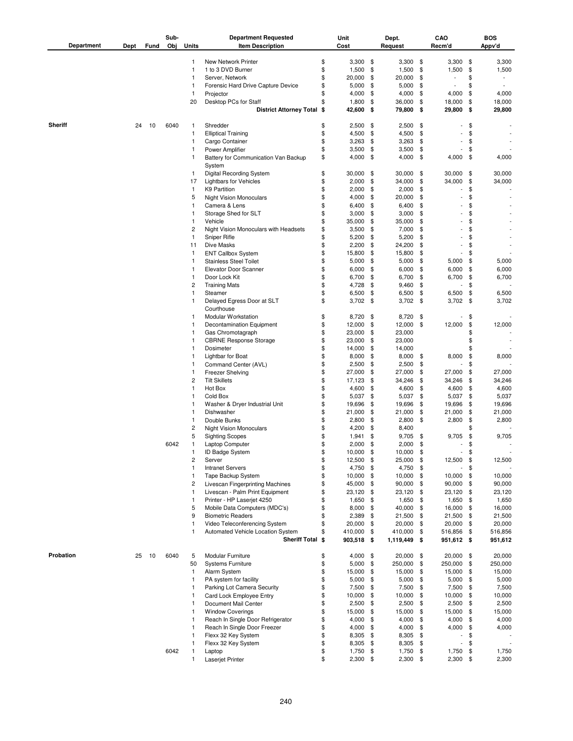| Department     | Dept | Fund | Sub-<br>Obj | <b>Units</b>      | <b>Department Requested</b><br><b>Item Description</b> |          | Unit<br>Cost     |            | Dept.<br>Request |          | CAO<br>Recm'd    |          | <b>BOS</b><br>Appv'd     |
|----------------|------|------|-------------|-------------------|--------------------------------------------------------|----------|------------------|------------|------------------|----------|------------------|----------|--------------------------|
|                |      |      |             | 1                 | New Network Printer                                    | \$       | $3,300$ \$       |            | 3,300            | \$       | 3,300            | \$       | 3,300                    |
|                |      |      |             | $\mathbf{1}$      | 1 to 3 DVD Burner                                      | \$       | 1,500            | \$         | 1,500            | \$       | 1,500            | \$       | 1,500                    |
|                |      |      |             | 1                 | Server, Network                                        | \$       | 20,000           | \$         | 20,000           | \$       | $\overline{a}$   | \$       | $\overline{\phantom{a}}$ |
|                |      |      |             | 1                 | Forensic Hard Drive Capture Device                     | \$       | 5,000            | \$         | 5,000            | \$       |                  | \$       |                          |
|                |      |      |             | 1                 | Projector                                              | \$       | 4,000            | \$         | 4,000            | \$       | 4,000            | \$       | 4,000                    |
|                |      |      |             | 20                | Desktop PCs for Staff                                  | \$       | 1,800            | \$         | 36,000           | \$       | 18,000           | \$       | 18,000                   |
|                |      |      |             |                   | District Attorney Total \$                             |          | 42,600           | \$         | 79,800           | \$       | 29,800           | \$       | 29,800                   |
| <b>Sheriff</b> | 24   | 10   | 6040        | 1                 | Shredder                                               | \$       | 2,500            | \$         | 2,500            | \$       |                  | \$       |                          |
|                |      |      |             | 1                 | <b>Elliptical Training</b>                             | \$       | 4,500            | \$         | 4,500            | \$       |                  | \$       |                          |
|                |      |      |             | 1                 | Cargo Container                                        | \$       | 3,263            | \$         | 3,263            | \$       |                  | \$       |                          |
|                |      |      |             | 1                 | Power Amplifier                                        | \$       | 3,500            | \$         | 3,500            | \$       | ٠                | \$       |                          |
|                |      |      |             | 1                 | Battery for Communication Van Backup<br>System         | \$       | 4,000            | \$         | 4,000            | \$       | 4,000            | \$       | 4,000                    |
|                |      |      |             | 1.                | <b>Digital Recording System</b>                        | \$       | 30,000           | - \$       | 30,000           | \$       | 30,000           | \$       | 30,000                   |
|                |      |      |             | 17                | <b>Lightbars for Vehicles</b>                          | \$       | 2,000            | \$         | 34,000           | \$       | 34,000           | \$       | 34,000                   |
|                |      |      |             | 1                 | K9 Partition                                           | \$       | 2,000            | \$         | 2,000            | \$       |                  | \$       |                          |
|                |      |      |             | 5                 | <b>Night Vision Monoculars</b>                         | \$       | 4,000            | \$         | 20,000           | \$       |                  | \$       |                          |
|                |      |      |             | 1<br>1            | Camera & Lens                                          | \$<br>\$ | 6,400<br>3,000   | \$<br>\$   | 6,400<br>3,000   | \$<br>\$ |                  | \$<br>\$ |                          |
|                |      |      |             | 1                 | Storage Shed for SLT<br>Vehicle                        | \$       | 35,000           | \$         | 35,000           | \$       |                  | \$       |                          |
|                |      |      |             | $\overline{c}$    | Night Vision Monoculars with Headsets                  | \$       | 3,500            | \$         | 7,000            | \$       |                  | \$       |                          |
|                |      |      |             | 1                 | Sniper Rifle                                           | \$       | 5,200            | \$         | 5,200            | \$       |                  | \$       |                          |
|                |      |      |             | 11                | <b>Dive Masks</b>                                      | \$       | 2,200            | \$         | 24,200           | \$       |                  | \$       |                          |
|                |      |      |             | 1                 | <b>ENT Callbox System</b>                              | \$       | 15,800           | \$         | 15,800           | \$       |                  | \$       |                          |
|                |      |      |             | 1                 | <b>Stainless Steel Toilet</b>                          | \$       | 5,000            | \$         | 5,000            | \$       | 5,000            | \$       | 5,000                    |
|                |      |      |             | 1                 | Elevator Door Scanner                                  | \$       | 6,000            | \$         | 6,000            | \$       | 6,000            | \$       | 6,000                    |
|                |      |      |             | 1                 | Door Lock Kit                                          | \$       | 6,700            | \$         | 6,700            | \$       | 6,700            | \$       | 6,700                    |
|                |      |      |             | 2                 | <b>Training Mats</b>                                   | \$       | 4,728            | \$         | 9,460            | \$       |                  | \$       |                          |
|                |      |      |             | 1<br>$\mathbf{1}$ | Steamer<br>Delayed Egress Door at SLT                  | \$<br>\$ | 6,500<br>3,702   | \$<br>- \$ | 6,500<br>3,702   | \$<br>\$ | 6,500<br>3,702   | \$<br>\$ | 6,500<br>3,702           |
|                |      |      |             | 1                 | Courthouse<br>Modular Workstation                      | \$       | 8,720            | \$         | 8,720            | \$       |                  | \$       |                          |
|                |      |      |             | 1                 | Decontamination Equipment                              | \$       | 12,000           | \$         | 12,000           | \$       | 12,000           | \$       | 12,000                   |
|                |      |      |             | 1                 | Gas Chromotagraph                                      | \$       | 23,000           | \$         | 23,000           |          |                  | \$       |                          |
|                |      |      |             | 1                 | <b>CBRNE Response Storage</b>                          | \$       | 23,000           | \$         | 23,000           |          |                  | \$       |                          |
|                |      |      |             | 1                 | Dosimeter                                              | \$       | 14,000           | \$         | 14,000           |          |                  | \$       |                          |
|                |      |      |             | 1                 | Lightbar for Boat                                      | \$       | 8,000            | \$         | 8,000            | \$       | 8,000            | \$       | 8,000                    |
|                |      |      |             | 1<br>1            | Command Center (AVL)                                   | \$<br>\$ | 2,500            | \$         | 2,500            | \$       |                  | \$       |                          |
|                |      |      |             | 2                 | <b>Freezer Shelving</b><br><b>Tilt Skillets</b>        | \$       | 27,000<br>17,123 | \$<br>\$   | 27,000<br>34,246 | \$<br>\$ | 27,000<br>34,246 | \$<br>\$ | 27,000<br>34,246         |
|                |      |      |             | $\mathbf{1}$      | Hot Box                                                | \$       | 4,600            | \$         | 4,600            | \$       | 4,600            | \$       | 4,600                    |
|                |      |      |             | 1                 | Cold Box                                               | \$       | 5,037            | \$         | 5,037            | \$       | 5,037            | \$       | 5,037                    |
|                |      |      |             | 1                 | Washer & Dryer Industrial Unit                         | \$       | 19,696           | \$         | 19,696           | \$       | 19,696           | \$       | 19,696                   |
|                |      |      |             | 1                 | Dishwasher                                             | \$       | 21,000           | \$         | 21,000           | \$       | 21,000           | \$       | 21,000                   |
|                |      |      |             | 1                 | Double Bunks                                           | \$       | 2,800            | \$         | 2,800            | \$       | 2,800            | \$       | 2,800                    |
|                |      |      |             | 2                 | <b>Night Vision Monoculars</b>                         | \$       | 4,200            | \$         | 8,400            |          |                  | \$       |                          |
|                |      |      |             | 5                 | <b>Sighting Scopes</b>                                 | \$       | 1,941            | \$         | 9,705            | \$       | 9,705            | \$       | 9,705                    |
|                |      |      | 6042        | $\mathbf{1}$      | Laptop Computer                                        | \$       | 2,000            | \$         | 2,000            | \$       |                  | \$       |                          |
|                |      |      |             |                   | ID Badge System                                        | \$       | 10,000           | \$         | 10,000           | \$       |                  | \$       |                          |
|                |      |      |             | 2                 | Server                                                 | \$       | 12,500 \$        |            | 25,000           | \$       | 12,500           | \$       | 12,500                   |
|                |      |      |             | 1<br>1            | <b>Intranet Servers</b><br>Tape Backup System          | \$<br>\$ | 4,750<br>10,000  | \$<br>\$   | 4,750<br>10,000  | \$<br>\$ | 10,000           | \$<br>\$ | 10,000                   |
|                |      |      |             | 2                 | Livescan Fingerprinting Machines                       | \$       | 45,000           | \$         | 90,000           | \$       | 90,000           | \$       | 90,000                   |
|                |      |      |             | 1                 | Livescan - Palm Print Equipment                        | \$       | 23,120           | \$         | 23,120           | \$       | 23,120           | \$       | 23,120                   |
|                |      |      |             | 1                 | Printer - HP Laserjet 4250                             | \$       | 1,650            | \$         | 1,650            | \$       | 1,650            | \$       | 1,650                    |
|                |      |      |             | 5                 | Mobile Data Computers (MDC's)                          | \$       | $8,000$ \$       |            | 40,000           | \$       | 16,000           | \$       | 16,000                   |
|                |      |      |             | 9                 | <b>Biometric Readers</b>                               | \$       | 2,389 \$         |            | 21,500           | \$       | 21,500           | \$       | 21,500                   |
|                |      |      |             | $\mathbf{1}$      | Video Teleconferencing System                          | \$       | 20,000           | \$         | 20,000           | \$       | 20,000           | \$       | 20,000                   |
|                |      |      |             | 1                 | Automated Vehicle Location System                      | \$       | 410,000          | \$         | 410,000          | \$       | 516,856          | \$       | 516,856                  |
|                |      |      |             |                   | Sheriff Total \$                                       |          | 903,518 \$       |            | 1,119,449        | \$       | 951,612 \$       |          | 951,612                  |
| Probation      | 25   | 10   | 6040        | 5                 | Modular Furniture                                      | \$       | $4,000$ \$       |            | 20,000           | \$       | 20,000           | \$       | 20,000                   |
|                |      |      |             | 50                | <b>Systems Furniture</b>                               | \$       | 5,000            | \$         | 250,000          | \$       | 250,000          | \$       | 250,000                  |
|                |      |      |             | 1                 | Alarm System                                           | \$       | 15,000           | -\$        | 15,000           | \$       | 15,000           | \$       | 15,000                   |
|                |      |      |             | 1<br>1            | PA system for facility<br>Parking Lot Camera Security  | \$<br>\$ | 5,000<br>7,500   | \$<br>- \$ | 5,000            | \$<br>\$ | 5,000            | \$<br>\$ | 5,000                    |
|                |      |      |             | 1                 | Card Lock Employee Entry                               | \$       | 10,000           | \$         | 7,500<br>10,000  | \$       | 7,500<br>10,000  | \$       | 7,500<br>10,000          |
|                |      |      |             | 1                 | Document Mail Center                                   | \$       | 2,500            | -\$        | 2,500            | \$       | 2,500            | \$       | 2,500                    |
|                |      |      |             | 1                 | <b>Window Coverings</b>                                | \$       | 15,000           | - \$       | 15,000           | \$       | 15,000           | \$       | 15,000                   |
|                |      |      |             | 1                 | Reach In Single Door Refrigerator                      | \$       | 4,000            | \$         | 4,000            | \$       | 4,000            | \$       | 4,000                    |
|                |      |      |             | 1                 | Reach In Single Door Freezer                           | \$       | 4,000            | \$         | 4,000            | \$       | 4,000            | \$       | 4,000                    |
|                |      |      |             | 1                 | Flexx 32 Key System                                    | \$       | 8,305            | \$         | 8,305            | \$       |                  | \$       |                          |
|                |      |      |             | 1                 | Flexx 32 Key System                                    | \$       | 8,305            | \$         | 8,305            | \$       | ÷                | \$       |                          |
|                |      |      | 6042        | 1                 | Laptop                                                 | \$       | 1,750            | \$         | 1,750            | \$       | 1,750            | \$       | 1,750                    |
|                |      |      |             | 1                 | Laserjet Printer                                       | \$       | $2,300$ \$       |            | 2,300            | \$       | $2,300$ \$       |          | 2,300                    |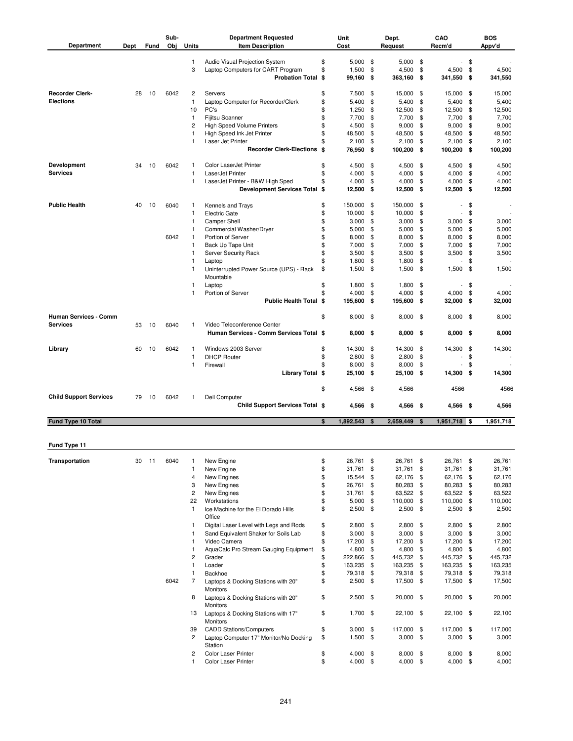| Department                    | Dept | Fund  | Sub-<br>Obj | Units                   | <b>Department Requested</b><br><b>Item Description</b>            |          | Unit<br>Cost    |          | Dept.<br>Request      |          | CAO<br>Recm'd            |          | <b>BOS</b><br>Appv'd |
|-------------------------------|------|-------|-------------|-------------------------|-------------------------------------------------------------------|----------|-----------------|----------|-----------------------|----------|--------------------------|----------|----------------------|
|                               |      |       |             | 1                       | Audio Visual Projection System                                    | \$       | $5,000$ \$      |          | 5,000                 | - \$     |                          | $-$ \$   |                      |
|                               |      |       |             | 3                       | Laptop Computers for CART Program                                 | \$       | 1,500           | \$       | 4,500                 | \$       | 4,500                    | \$       | 4,500                |
|                               |      |       |             |                         | <b>Probation Total \$</b>                                         |          | 99,160          | \$       | 363,160               | \$       | 341,550 \$               |          | 341,550              |
|                               |      |       |             |                         |                                                                   |          |                 |          |                       |          |                          |          |                      |
| <b>Recorder Clerk-</b>        | 28   | 10    | 6042        | 2                       | Servers                                                           | \$       | 7,500           | \$       | 15,000                | \$       | 15,000                   | - \$     | 15,000               |
| <b>Elections</b>              |      |       |             | 1                       | Laptop Computer for Recorder/Clerk                                | \$<br>\$ | 5,400           | \$       | 5,400                 | \$       | 5,400                    | \$       | 5,400                |
|                               |      |       |             | 10<br>1                 | PC's<br>Fijitsu Scanner                                           | \$       | 1,250<br>7,700  | \$<br>\$ | 12,500<br>7,700       | \$<br>\$ | 12,500<br>7,700          | \$<br>\$ | 12,500<br>7,700      |
|                               |      |       |             | 2                       | <b>High Speed Volume Printers</b>                                 | \$       | 4,500           | \$       | 9,000                 | \$       | 9,000                    | \$       | 9,000                |
|                               |      |       |             | $\mathbf{1}$            | High Speed Ink Jet Printer                                        | \$       | 48,500          | \$       | 48,500                | \$       | 48,500                   | \$       | 48,500               |
|                               |      |       |             | 1                       | Laser Jet Printer                                                 | \$       | 2,100           | \$       | 2,100                 | \$       | 2,100                    | \$       | 2,100                |
|                               |      |       |             |                         | <b>Recorder Clerk-Elections \$</b>                                |          | 76,950          | \$       | 100,200               | \$       | 100,200 \$               |          | 100,200              |
|                               |      |       |             |                         |                                                                   |          |                 |          |                       |          |                          |          |                      |
| Development                   | 34   | 10    | 6042        | 1                       | Color LaserJet Printer                                            | \$       | 4,500           | \$       | 4,500                 | \$       | 4,500                    | - \$     | 4,500                |
| <b>Services</b>               |      |       |             | 1                       | LaserJet Printer                                                  | \$       | 4,000           | \$       | 4,000                 | \$       | 4,000                    | \$       | 4,000                |
|                               |      |       |             | 1                       | LaserJet Printer - B&W High Sped<br>Development Services Total \$ | \$       | 4,000<br>12,500 | \$<br>\$ | 4,000<br>12,500       | \$<br>\$ | 4,000<br>12,500 \$       | \$       | 4,000<br>12,500      |
|                               |      |       |             |                         |                                                                   |          |                 |          |                       |          |                          |          |                      |
| <b>Public Health</b>          | 40   | 10    | 6040        | 1                       | Kennels and Trays                                                 | \$       | 150,000         | -\$      | 150,000               | \$       |                          | \$       |                      |
|                               |      |       |             | 1                       | <b>Electric Gate</b>                                              | \$       | 10,000          | \$       | 10,000                | \$       | $\overline{\phantom{a}}$ | \$       |                      |
|                               |      |       |             | 1                       | <b>Camper Shell</b>                                               | \$       | 3,000           | \$       | 3,000                 | \$       | 3,000                    | \$       | 3,000                |
|                               |      |       |             | 1                       | Commercial Washer/Dryer                                           | \$       | 5,000           | \$       | 5,000                 | \$       | 5,000                    | \$       | 5,000                |
|                               |      |       | 6042        | 1                       | Portion of Server                                                 | \$       | 8,000           | \$       | 8,000                 | \$       | 8,000                    | \$       | 8,000                |
|                               |      |       |             | 1                       | Back Up Tape Unit                                                 | \$       | 7,000           | \$       | 7,000                 | \$       | 7,000                    | - \$     | 7,000                |
|                               |      |       |             | 1                       | Server Security Rack                                              | \$       | 3,500           | \$       | 3,500                 | \$       | 3,500                    | \$       | 3,500                |
|                               |      |       |             | 1                       | Laptop                                                            | \$       | 1,800           | \$       | 1,800                 | \$       | $\overline{\phantom{a}}$ | \$       |                      |
|                               |      |       |             | 1                       | Uninterrupted Power Source (UPS) - Rack<br>Mountable              | \$       | 1,500           | \$       | 1,500                 | \$       | $1,500$ \$               |          | 1,500                |
|                               |      |       |             | 1                       | Laptop                                                            | \$       | 1,800           | \$       | 1,800                 | \$       |                          | \$       |                      |
|                               |      |       |             | 1                       | Portion of Server                                                 | \$       | 4,000           | \$       | 4,000                 | \$       | 4,000                    | \$       | 4,000                |
|                               |      |       |             |                         | <b>Public Health Total \$</b>                                     |          | 195,600         | \$       | 195,600               | \$       | 32,000 \$                |          | 32,000               |
|                               |      |       |             |                         |                                                                   |          |                 |          |                       |          |                          |          |                      |
| Human Services - Comm         |      |       |             |                         |                                                                   | \$       | $8,000$ \$      |          | 8,000                 | - \$     | 8,000 \$                 |          | 8,000                |
| <b>Services</b>               | 53   | 10    | 6040        | 1                       | Video Teleconference Center                                       |          |                 |          |                       |          |                          |          |                      |
|                               |      |       |             |                         | Human Services - Comm Services Total \$                           |          | $8,000$ \$      |          | $8,000$ \$            |          | $8,000$ \$               |          | 8,000                |
|                               |      |       |             |                         |                                                                   |          |                 |          |                       |          |                          |          |                      |
| Library                       | 60   | 10    | 6042        | 1                       | Windows 2003 Server                                               | \$       | 14,300          | \$       | 14,300                | \$       | 14,300                   | \$       | 14,300               |
|                               |      |       |             | 1<br>1                  | <b>DHCP Router</b><br>Firewall                                    | \$<br>\$ | 2,800<br>8,000  | \$<br>\$ | 2,800<br>8,000        | \$<br>\$ |                          | \$<br>\$ |                      |
|                               |      |       |             |                         | Library Total \$                                                  |          | 25,100 \$       |          | 25,100                | \$       | 14,300 \$                |          | 14,300               |
|                               |      |       |             |                         |                                                                   |          |                 |          |                       |          |                          |          |                      |
|                               |      |       |             |                         |                                                                   | \$       | 4,566           | - \$     | 4,566                 |          | 4566                     |          | 4566                 |
| <b>Child Support Services</b> | 79   | 10    | 6042        | 1                       | <b>Dell Computer</b>                                              |          |                 |          |                       |          |                          |          |                      |
|                               |      |       |             |                         | Child Support Services Total \$                                   |          | 4,566 \$        |          | 4,566\$               |          | 4,566 \$                 |          | 4,566                |
|                               |      |       |             |                         |                                                                   |          |                 |          |                       |          |                          |          |                      |
| Fund Type 10 Total            |      |       |             |                         |                                                                   | \$       | 1,892,543       | \$       | 2,659,449             | \$       | 1,951,718 \$             |          | 1,951,718            |
|                               |      |       |             |                         |                                                                   |          |                 |          |                       |          |                          |          |                      |
| Fund Type 11                  |      |       |             |                         |                                                                   |          |                 |          |                       |          |                          |          |                      |
|                               |      |       |             |                         |                                                                   |          |                 |          |                       |          |                          |          |                      |
| Transportation                | 30   | $-11$ | 6040        | 1                       | New Engine                                                        | \$       | 26,761 \$       |          | 26,761 \$             |          | 26,761 \$                |          | 26,761               |
|                               |      |       |             | 1                       | New Engine                                                        | \$       | 31,761          | \$       | 31,761                | \$       | 31,761 \$                |          | 31,761               |
|                               |      |       |             | 4                       | New Engines                                                       | \$       | 15,544          | \$       | 62,176                | \$       | 62,176 \$                |          | 62,176               |
|                               |      |       |             | 3                       | New Engines                                                       | \$       | 26,761          | \$       | 80,283                | \$       | 80,283 \$                |          | 80,283               |
|                               |      |       |             | $\overline{\mathbf{c}}$ | New Engines                                                       | \$       | 31,761          | \$       | 63,522 \$             |          | 63,522 \$                |          | 63,522               |
|                               |      |       |             | 22<br>1                 | Workstations<br>Ice Machine for the El Dorado Hills               | \$<br>\$ | 5,000<br>2,500  | \$<br>\$ | 110,000<br>$2,500$ \$ | \$       | 110,000 \$<br>$2,500$ \$ |          | 110,000<br>2,500     |
|                               |      |       |             |                         | Office                                                            |          |                 |          |                       |          |                          |          |                      |
|                               |      |       |             | 1                       | Digital Laser Level with Legs and Rods                            | \$       | $2,800$ \$      |          | $2,800$ \$            |          | $2,800$ \$               |          | 2,800                |
|                               |      |       |             | 1                       | Sand Equivalent Shaker for Soils Lab                              | \$       | 3,000           | \$       | 3,000                 | \$       | $3,000$ \$               |          | 3,000                |
|                               |      |       |             | 1                       | Video Camera                                                      | \$       | 17,200          | \$       | 17,200                | \$       | 17,200 \$                |          | 17,200               |
|                               |      |       |             | 1                       | AquaCalc Pro Stream Gauging Equipment                             | \$       | 4,800           | \$       | 4,800                 | \$       | 4,800 \$                 |          | 4,800                |
|                               |      |       |             | 2                       | Grader                                                            | \$       | 222,866         | \$       | 445,732 \$            |          | 445,732 \$               |          | 445,732              |
|                               |      |       |             | 1                       | Loader                                                            | \$       | 163,235         | \$       | 163,235 \$            |          | 163,235 \$               |          | 163,235              |
|                               |      |       |             | 1                       | Backhoe                                                           | \$       | 79,318          | \$       | 79,318                | \$       | 79,318 \$                |          | 79,318               |
|                               |      |       | 6042        | 7                       | Laptops & Docking Stations with 20"                               | \$       | $2,500$ \$      |          | 17,500 \$             |          | 17,500 \$                |          | 17,500               |
|                               |      |       |             |                         | Monitors                                                          |          |                 |          |                       |          |                          |          |                      |
|                               |      |       |             | 8                       | Laptops & Docking Stations with 20"<br>Monitors                   | \$       | $2,500$ \$      |          | 20,000 \$             |          | 20,000 \$                |          | 20,000               |
|                               |      |       |             | 13                      | Laptops & Docking Stations with 17"                               | \$       | $1,700$ \$      |          | 22,100 \$             |          | 22,100 \$                |          | 22,100               |
|                               |      |       |             |                         | Monitors                                                          |          |                 |          |                       |          |                          |          |                      |
|                               |      |       |             | 39                      | <b>CADD Stations/Computers</b>                                    | \$       | 3,000           | \$       | 117,000 \$            |          | 117,000 \$               |          | 117,000              |
|                               |      |       |             | 2                       | Laptop Computer 17" Monitor/No Docking                            | \$       | $1,500$ \$      |          | $3,000$ \$            |          | $3,000$ \$               |          | 3,000                |
|                               |      |       |             |                         | Station                                                           |          |                 |          |                       |          |                          |          |                      |
|                               |      |       |             | 2                       | Color Laser Printer                                               | \$       | 4,000           | \$       | 8,000                 | \$       | $8,000$ \$               |          | 8,000                |
|                               |      |       |             | $\mathbf{1}$            | Color Laser Printer                                               | \$       | $4,000$ \$      |          | 4,000 \$              |          | $4,000$ \$               |          | 4,000                |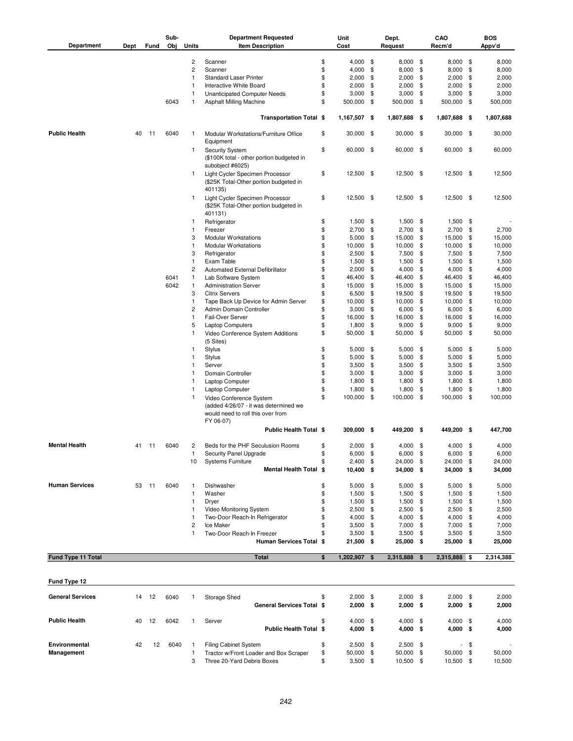| Department              | Dept | Fund  | Sub-<br>Obj | Units          | <b>Department Requested</b><br><b>Item Description</b>                                                             | Unit<br>Cost              |            | Dept.<br>Request         | CAO<br>Recm'd                  |        | BOS<br>Appv'd  |
|-------------------------|------|-------|-------------|----------------|--------------------------------------------------------------------------------------------------------------------|---------------------------|------------|--------------------------|--------------------------------|--------|----------------|
|                         |      |       |             |                |                                                                                                                    |                           |            |                          |                                |        |                |
|                         |      |       |             | 2              | Scanner                                                                                                            | \$<br>4,000               | \$         | $8,000$ \$               | $8,000$ \$                     |        | 8,000          |
|                         |      |       |             | $\overline{c}$ | Scanner                                                                                                            | \$<br>4,000               | \$         | 8,000                    | \$<br>8,000                    | \$     | 8,000          |
|                         |      |       |             | 1              | <b>Standard Laser Printer</b>                                                                                      | \$<br>2,000               | \$         | 2,000                    | \$<br>2,000                    | \$     | 2,000          |
|                         |      |       |             | 1              | Interactive White Board                                                                                            | \$<br>2,000               | \$         | 2,000                    | \$<br>2,000                    | \$     | 2,000          |
|                         |      |       |             | $\mathbf{1}$   | <b>Unanticipated Computer Needs</b>                                                                                | \$<br>3,000               | \$         | 3,000                    | \$<br>3,000                    | \$     | 3,000          |
|                         |      |       | 6043        | 1              | Asphalt Milling Machine                                                                                            | \$<br>500,000             | \$         | 500,000                  | \$<br>500,000 \$               |        | 500,000        |
|                         |      |       |             |                | Transportation Total \$                                                                                            | 1,167,507 \$              |            | 1,807,688 \$             | 1,807,688 \$                   |        | 1,807,688      |
| <b>Public Health</b>    | 40   | 11    | 6040        | 1              | Modular Workstations/Furniture Office<br>Equipment                                                                 | \$<br>30,000              | -\$        | $30,000$ \$              | 30,000 \$                      |        | 30,000         |
|                         |      |       |             | 1              | <b>Security System</b><br>(\$100K total - other portion budgeted in<br>subobject #6025)                            | \$<br>60,000 \$           |            | 60,000 \$                | 60,000 \$                      |        | 60,000         |
|                         |      |       |             | 1              | Light Cycler Specimen Processor<br>(\$25K Total-Other portion budgeted in<br>401135)                               | \$<br>12,500 \$           |            | 12,500 \$                | 12,500 \$                      |        | 12,500         |
|                         |      |       |             | 1              | Light Cycler Specimen Processor<br>(\$25K Total-Other portion budgeted in<br>401131)                               | \$<br>12,500 \$           |            | 12,500 \$                | 12,500 \$                      |        | 12,500         |
|                         |      |       |             | 1              | Refrigerator                                                                                                       | \$<br>1,500               | \$         | 1,500                    | \$<br>$1,500$ \$               |        |                |
|                         |      |       |             | 1              | Freezer                                                                                                            | \$<br>2,700               | \$         | 2,700                    | \$<br>2,700                    | \$     | 2,700          |
|                         |      |       |             | 3              | <b>Modular Workstations</b>                                                                                        | \$<br>5,000               | \$         | 15,000                   | \$<br>15,000                   | \$     | 15,000         |
|                         |      |       |             | 1              | <b>Modular Workstations</b>                                                                                        | \$<br>10,000              | \$         | 10,000                   | \$<br>10,000                   | \$     | 10,000         |
|                         |      |       |             | 3              | Refrigerator                                                                                                       | \$<br>2,500               | \$         | 7,500                    | \$<br>7,500                    | \$     | 7,500          |
|                         |      |       |             | 1              | Exam Table                                                                                                         | \$<br>1,500               | \$         | 1,500                    | \$<br>1,500                    | \$     | 1,500          |
|                         |      |       |             | 2              | Automated External Defibrillator                                                                                   | \$<br>2,000               | \$         | 4,000                    | \$<br>4,000                    | \$     | 4,000          |
|                         |      |       | 6041        | 1              | Lab Software System                                                                                                | \$<br>46,400              | \$         | 46,400                   | \$<br>46,400                   | \$     | 46,400         |
|                         |      |       | 6042        | 1              | <b>Administration Server</b>                                                                                       | \$<br>15,000              | \$         | 15,000                   | \$<br>15,000                   | \$     | 15,000         |
|                         |      |       |             | 3              | <b>Citrix Servers</b>                                                                                              | \$<br>6,500               | \$         | 19,500                   | \$<br>19,500                   | \$     | 19,500         |
|                         |      |       |             | 1              | Tape Back Up Device for Admin Server                                                                               | \$<br>10,000              | \$         | 10,000                   | \$<br>10,000                   | \$     | 10,000         |
|                         |      |       |             | $\overline{c}$ | Admin Domain Controller                                                                                            | \$<br>3,000               | \$         | 6,000                    | \$<br>6,000                    | \$     | 6,000          |
|                         |      |       |             | 1              | Fail-Over Server                                                                                                   | \$<br>16,000              | \$         | 16,000                   | \$<br>16,000                   | \$     | 16,000         |
|                         |      |       |             | 5              | <b>Laptop Computers</b>                                                                                            | \$<br>1,800               | \$         | 9,000                    | \$<br>9,000                    | \$     | 9,000          |
|                         |      |       |             | 1              | Video Conference System Additions                                                                                  | \$<br>50,000              | \$         | 50,000                   | \$<br>50,000                   | \$     | 50,000         |
|                         |      |       |             | 1              | (5 Sites)<br>Stylus                                                                                                | \$<br>5,000               | \$         | 5,000                    | \$<br>$5,000$ \$               |        | 5,000          |
|                         |      |       |             | 1              | Stylus                                                                                                             | \$<br>5,000               | \$         | 5,000                    | \$<br>5,000                    | \$     | 5,000          |
|                         |      |       |             | 1              | Server                                                                                                             | \$<br>3,500               | \$         | 3,500                    | \$<br>3,500                    | \$     | 3,500          |
|                         |      |       |             | 1              | Domain Controller                                                                                                  | \$<br>3,000               | \$         | 3,000                    | \$<br>3,000                    | \$     | 3,000          |
|                         |      |       |             | 1              | Laptop Computer                                                                                                    | \$<br>1,800               | \$         | 1,800                    | \$<br>1,800                    | \$     | 1,800          |
|                         |      |       |             | 1              |                                                                                                                    | \$<br>1,800               | \$         | 1,800                    | \$<br>1,800                    | \$     | 1,800          |
|                         |      |       |             |                | Laptop Computer                                                                                                    |                           |            |                          |                                |        |                |
|                         |      |       |             | 1              | Video Conference System<br>(added 4/26/07 - it was determined we<br>would need to roll this over from<br>FY 06-07) | \$<br>100,000             | \$         | 100,000                  | \$<br>100,000 \$               |        | 100,000        |
|                         |      |       |             |                | <b>Public Health Total \$</b>                                                                                      | 309,000 \$                |            | 449,200 \$               | 449,200 \$                     |        | 447,700        |
| <b>Mental Health</b>    | 41   | 11    | 6040        | 2              | Beds for the PHF Seculusion Rooms                                                                                  | \$<br>2,000               | - \$       | $4,000$ \$               | 4,000 \$                       |        | 4,000          |
|                         |      |       |             |                | Security Panel Upgrade                                                                                             | \$<br>6,000               | -5         | $6,000$ \$               | $6,000$ \$                     |        | 6,000          |
|                         |      |       |             | 10             | <b>Systems Furniture</b>                                                                                           | \$<br>$2,400$ \$          |            | 24,000 \$                | 24,000 \$                      |        | 24,000         |
|                         |      |       |             |                | Mental Health Total \$                                                                                             | 10,400 \$                 |            | 34,000 \$                | 34,000 \$                      |        | 34,000         |
| <b>Human Services</b>   | 53   | $-11$ | 6040        | 1              | Dishwasher                                                                                                         | \$<br>5,000               | \$         | 5,000                    | \$<br>$5,000$ \$               |        | 5,000          |
|                         |      |       |             | 1              | Washer                                                                                                             | \$<br>1,500               | \$         | 1,500                    | \$<br>$1,500$ \$               |        | 1,500          |
|                         |      |       |             | 1              | Dryer                                                                                                              | \$<br>1,500               | \$         | 1,500                    | \$<br>$1,500$ \$               |        | 1,500          |
|                         |      |       |             | 1              | Video Monitoring System                                                                                            | \$<br>2,500               | \$         | 2,500                    | \$<br>$2,500$ \$               |        | 2,500          |
|                         |      |       |             | 1              | Two-Door Reach-In Refrigerator                                                                                     | \$<br>4,000               | \$         | 4,000                    | \$<br>4,000 \$                 |        | 4,000          |
|                         |      |       |             | 2              | Ice Maker                                                                                                          | \$<br>3,500               | \$         | 7,000                    | \$<br>7,000                    | \$     | 7,000          |
|                         |      |       |             | 1              | Two-Door Reach-In Freezer                                                                                          | 3,500                     | \$         | 3,500                    | \$<br>$3,500$ \$               |        | 3,500          |
|                         |      |       |             |                | <b>Human Services Total \$</b>                                                                                     | 21,500 \$                 |            | 25,000 \$                | 25,000 \$                      |        | 25,000         |
| Fund Type 11 Total      |      |       |             |                | <b>Total</b>                                                                                                       | \$<br>1,202,907 \$        |            | 2,315,888                | \$<br>2,315,888 \$             |        | 2,314,388      |
| Fund Type 12            |      |       |             |                |                                                                                                                    |                           |            |                          |                                |        |                |
|                         |      |       |             |                |                                                                                                                    |                           |            |                          |                                |        |                |
| <b>General Services</b> | 14   | 12    | 6040        | 1              | Storage Shed<br>General Services Total \$                                                                          | \$<br>2,000<br>$2,000$ \$ | \$         | $2,000$ \$<br>$2,000$ \$ | $2,000$ \$<br>$2,000$ \$       |        | 2,000<br>2,000 |
|                         |      |       |             |                |                                                                                                                    |                           |            |                          |                                |        |                |
| <b>Public Health</b>    | 40   | 12    | 6042        | 1              | Server<br><b>Public Health Total \$</b>                                                                            | \$<br>4,000<br>4,000      | \$<br>- \$ | 4,000<br>$4,000$ \$      | \$<br>$4,000$ \$<br>$4,000$ \$ |        | 4,000<br>4,000 |
|                         |      |       |             |                |                                                                                                                    |                           |            |                          |                                |        |                |
| Environmental           | 42   | 12    | 6040        | $\mathbf{1}$   | Filing Cabinet System                                                                                              | \$<br>2,500               | \$         | $2,500$ \$               |                                | $-$ \$ |                |
| Management              |      |       |             | 1              | Tractor w/Front Loader and Box Scraper                                                                             | \$<br>50,000              | \$         | 50,000                   | \$<br>50,000 \$                |        | 50,000         |
|                         |      |       |             | 3              | Three 20-Yard Debris Boxes                                                                                         | \$<br>$3,500$ \$          |            | 10,500 \$                | 10,500 \$                      |        | 10,500         |